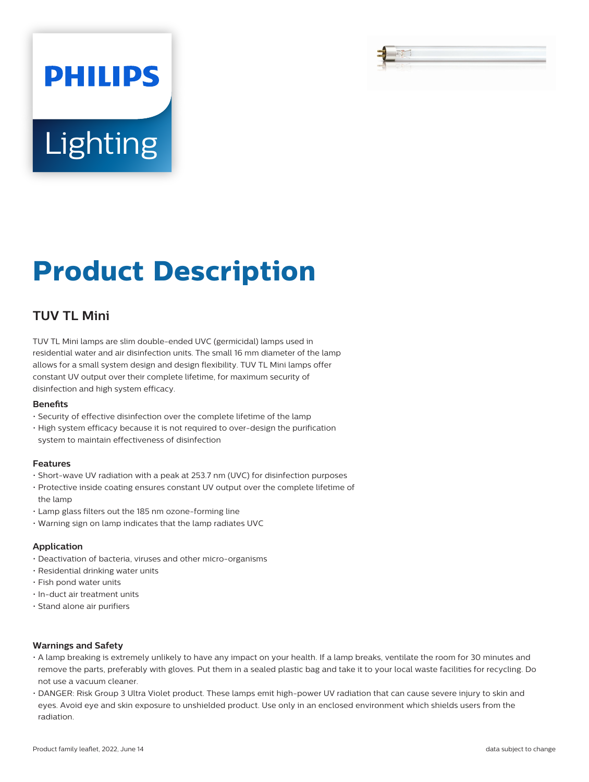# **Lighting**

**PHILIPS** 

# **Product Description**

## **TUV TL Mini**

TUV TL Mini lamps are slim double-ended UVC (germicidal) lamps used in residential water and air disinfection units. The small 16 mm diameter of the lamp allows for a small system design and design flexibility. TUV TL Mini lamps offer constant UV output over their complete lifetime, for maximum security of disinfection and high system efficacy.

#### **Benefits**

- Security of effective disinfection over the complete lifetime of the lamp
- High system efficacy because it is not required to over-design the purification system to maintain effectiveness of disinfection

#### **Features**

- Short-wave UV radiation with a peak at 253.7 nm (UVC) for disinfection purposes
- Protective inside coating ensures constant UV output over the complete lifetime of the lamp
- Lamp glass filters out the 185 nm ozone-forming line
- Warning sign on lamp indicates that the lamp radiates UVC

#### **Application**

- Deactivation of bacteria, viruses and other micro-organisms
- Residential drinking water units
- Fish pond water units
- In-duct air treatment units
- Stand alone air purifiers

#### **Warnings and Safety**

- A lamp breaking is extremely unlikely to have any impact on your health. If a lamp breaks, ventilate the room for 30 minutes and remove the parts, preferably with gloves. Put them in a sealed plastic bag and take it to your local waste facilities for recycling. Do not use a vacuum cleaner.
- DANGER: Risk Group 3 Ultra Violet product. These lamps emit high-power UV radiation that can cause severe injury to skin and eyes. Avoid eye and skin exposure to unshielded product. Use only in an enclosed environment which shields users from the radiation.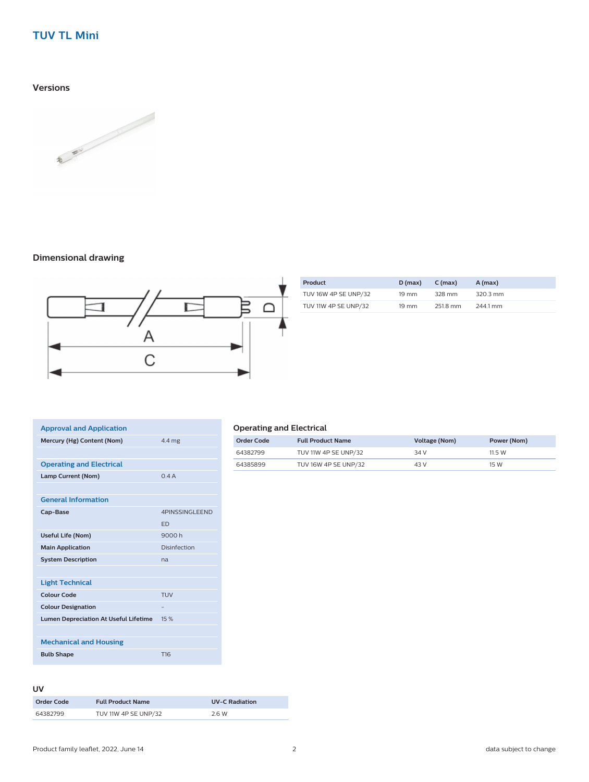### **TUV TL Mini**

**Versions**



#### **Dimensional drawing**



| Product              | D (max)         | $C$ (max) | A (max)  |
|----------------------|-----------------|-----------|----------|
| TUV 16W 4P SE UNP/32 | $19 \text{ mm}$ | 328 mm    | 320.3 mm |
| TUV 11W 4P SE UNP/32 | $19 \text{ mm}$ | 251.8 mm  | 244.1 mm |

| <b>Approval and Application</b>              |                 |
|----------------------------------------------|-----------------|
| Mercury (Hg) Content (Nom)                   | 4.4 mg          |
|                                              |                 |
| <b>Operating and Electrical</b>              |                 |
| Lamp Current (Nom)                           | 0.4A            |
|                                              |                 |
| <b>General Information</b>                   |                 |
| Cap-Base                                     | 4PINSSINGLEEND  |
|                                              | <b>ED</b>       |
| <b>Useful Life (Nom)</b>                     | 9000h           |
| <b>Main Application</b>                      | Disinfection    |
| <b>System Description</b>                    | na              |
|                                              |                 |
| <b>Light Technical</b>                       |                 |
| Colour Code                                  | <b>TUV</b>      |
| <b>Colour Designation</b>                    |                 |
| <b>Lumen Depreciation At Useful Lifetime</b> | 15%             |
|                                              |                 |
| <b>Mechanical and Housing</b>                |                 |
| <b>Bulb Shape</b>                            | T <sub>16</sub> |

#### **Operating and Electrical**

| Order Code | <b>Full Product Name</b> | Voltage (Nom) | Power (Nom) |
|------------|--------------------------|---------------|-------------|
| 64382799   | TUV 11W 4P SE UNP/32     | 34 V          | 11.5 W      |
| 64385899   | TUV 16W 4P SE UNP/32     | 43 V          | 15 W        |

#### **UV**

| Order Code | <b>Full Product Name</b> | <b>UV-C Radiation</b> |
|------------|--------------------------|-----------------------|
| 64382799   | TUV 11W 4P SE UNP/32     | 2.6 W                 |